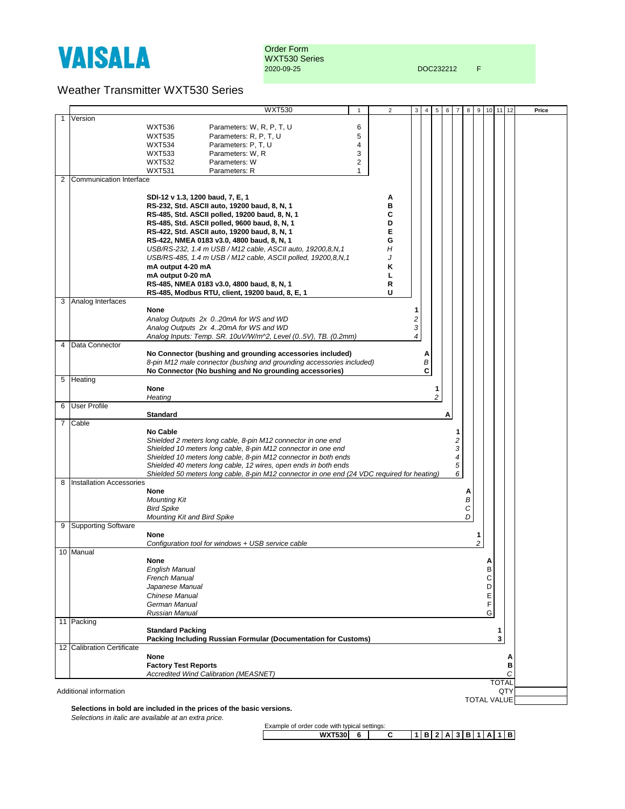

Order Form WXT530 Series 2020-09-25 DOC232212 F

## Weather Transmitter WXT530 Series

|                                                     |                                 | <b>WXT530</b>                                                                               | $\mathbf{1}$   | 2 | 3 | 4 | 5      | 6 | $\overline{7}$ | 8 | 9      | 10 | 11           | 12 | Price |
|-----------------------------------------------------|---------------------------------|---------------------------------------------------------------------------------------------|----------------|---|---|---|--------|---|----------------|---|--------|----|--------------|----|-------|
|                                                     | Version                         |                                                                                             |                |   |   |   |        |   |                |   |        |    |              |    |       |
|                                                     |                                 | Parameters: W, R, P, T, U<br><b>WXT536</b>                                                  | 6              |   |   |   |        |   |                |   |        |    |              |    |       |
|                                                     |                                 | Parameters: R, P, T, U<br><b>WXT535</b>                                                     | 5              |   |   |   |        |   |                |   |        |    |              |    |       |
|                                                     |                                 | Parameters: P, T, U<br><b>WXT534</b>                                                        | 4              |   |   |   |        |   |                |   |        |    |              |    |       |
|                                                     |                                 | Parameters: W, R<br><b>WXT533</b>                                                           | 3              |   |   |   |        |   |                |   |        |    |              |    |       |
|                                                     |                                 | <b>WXT532</b><br>Parameters: W                                                              | $\overline{2}$ |   |   |   |        |   |                |   |        |    |              |    |       |
|                                                     |                                 | <b>WXT531</b><br>Parameters: R                                                              | $\mathbf{1}$   |   |   |   |        |   |                |   |        |    |              |    |       |
| 2                                                   | Communication Interface         |                                                                                             |                |   |   |   |        |   |                |   |        |    |              |    |       |
|                                                     |                                 |                                                                                             |                |   |   |   |        |   |                |   |        |    |              |    |       |
|                                                     |                                 | SDI-12 v 1.3, 1200 baud, 7, E, 1                                                            |                | А |   |   |        |   |                |   |        |    |              |    |       |
|                                                     |                                 | RS-232, Std. ASCII auto, 19200 baud, 8, N, 1                                                |                |   |   |   |        |   |                |   |        |    |              |    |       |
|                                                     |                                 |                                                                                             |                | в |   |   |        |   |                |   |        |    |              |    |       |
|                                                     |                                 | RS-485, Std. ASCII polled, 19200 baud, 8, N, 1                                              |                | С |   |   |        |   |                |   |        |    |              |    |       |
|                                                     |                                 | RS-485, Std. ASCII polled, 9600 baud, 8, N, 1                                               |                | D |   |   |        |   |                |   |        |    |              |    |       |
|                                                     |                                 | RS-422, Std. ASCII auto, 19200 baud, 8, N, 1                                                |                | Е |   |   |        |   |                |   |        |    |              |    |       |
|                                                     |                                 | RS-422, NMEA 0183 v3.0, 4800 baud, 8, N, 1                                                  |                | G |   |   |        |   |                |   |        |    |              |    |       |
|                                                     |                                 | USB/RS-232, 1.4 m USB / M12 cable, ASCII auto, 19200,8,N,1                                  |                | Н |   |   |        |   |                |   |        |    |              |    |       |
|                                                     |                                 | USB/RS-485, 1.4 m USB / M12 cable, ASCII polled, 19200,8,N,1                                |                |   |   |   |        |   |                |   |        |    |              |    |       |
|                                                     |                                 | mA output 4-20 mA                                                                           |                | Κ |   |   |        |   |                |   |        |    |              |    |       |
|                                                     |                                 | mA output 0-20 mA                                                                           |                |   |   |   |        |   |                |   |        |    |              |    |       |
|                                                     |                                 | RS-485, NMEA 0183 v3.0, 4800 baud, 8, N, 1                                                  |                | R |   |   |        |   |                |   |        |    |              |    |       |
|                                                     |                                 | RS-485, Modbus RTU, client, 19200 baud, 8, E, 1                                             |                | U |   |   |        |   |                |   |        |    |              |    |       |
|                                                     | 3 Analog Interfaces             |                                                                                             |                |   |   |   |        |   |                |   |        |    |              |    |       |
|                                                     |                                 | None                                                                                        |                |   | 1 |   |        |   |                |   |        |    |              |    |       |
|                                                     |                                 | Analog Outputs 2x 020mA for WS and WD                                                       |                |   | 2 |   |        |   |                |   |        |    |              |    |       |
|                                                     |                                 | Analog Outputs 2x 420mA for WS and WD                                                       |                |   | 3 |   |        |   |                |   |        |    |              |    |       |
|                                                     |                                 | Analog Inputs: Temp. SR. 10uV/W/m^2, Level (05V), TB. (0.2mm)                               |                |   | 4 |   |        |   |                |   |        |    |              |    |       |
|                                                     | 4 Data Connector                |                                                                                             |                |   |   |   |        |   |                |   |        |    |              |    |       |
|                                                     |                                 | No Connector (bushing and grounding accessories included)                                   |                |   |   | Α |        |   |                |   |        |    |              |    |       |
|                                                     |                                 | 8-pin M12 male connector (bushing and grounding accessories included)                       |                |   |   | В |        |   |                |   |        |    |              |    |       |
|                                                     |                                 | No Connector (No bushing and No grounding accessories)                                      |                |   |   | C |        |   |                |   |        |    |              |    |       |
|                                                     | 5 Heating                       |                                                                                             |                |   |   |   |        |   |                |   |        |    |              |    |       |
|                                                     |                                 | None<br>Heating                                                                             |                |   |   |   | 1<br>2 |   |                |   |        |    |              |    |       |
|                                                     | 6 User Profile                  |                                                                                             |                |   |   |   |        |   |                |   |        |    |              |    |       |
|                                                     |                                 | <b>Standard</b>                                                                             |                |   |   |   |        | Α |                |   |        |    |              |    |       |
|                                                     | 7 Cable                         |                                                                                             |                |   |   |   |        |   |                |   |        |    |              |    |       |
|                                                     |                                 | <b>No Cable</b>                                                                             |                |   |   |   |        |   | 1              |   |        |    |              |    |       |
|                                                     |                                 | Shielded 2 meters long cable, 8-pin M12 connector in one end                                |                |   |   |   |        |   | 2              |   |        |    |              |    |       |
|                                                     |                                 | Shielded 10 meters long cable, 8-pin M12 connector in one end                               |                |   |   |   |        |   | 3              |   |        |    |              |    |       |
|                                                     |                                 | Shielded 10 meters long cable, 8-pin M12 connector in both ends                             |                |   |   |   |        |   | 4              |   |        |    |              |    |       |
|                                                     |                                 | Shielded 40 meters long cable, 12 wires, open ends in both ends                             |                |   |   |   |        |   | 5              |   |        |    |              |    |       |
|                                                     |                                 | Shielded 50 meters long cable, 8-pin M12 connector in one end (24 VDC required for heating) |                |   |   |   |        |   | 6              |   |        |    |              |    |       |
| 8                                                   | <b>Installation Accessories</b> |                                                                                             |                |   |   |   |        |   |                |   |        |    |              |    |       |
|                                                     |                                 | None                                                                                        |                |   |   |   |        |   |                | А |        |    |              |    |       |
|                                                     |                                 | <b>Mounting Kit</b>                                                                         |                |   |   |   |        |   |                | В |        |    |              |    |       |
|                                                     |                                 | <b>Bird Spike</b>                                                                           |                |   |   |   |        |   |                | C |        |    |              |    |       |
|                                                     |                                 | <b>Mounting Kit and Bird Spike</b>                                                          |                |   |   |   |        |   |                | D |        |    |              |    |       |
|                                                     | 9 Supporting Software           |                                                                                             |                |   |   |   |        |   |                |   |        |    |              |    |       |
|                                                     |                                 | None<br>Configuration tool for windows + USB service cable                                  |                |   |   |   |        |   |                |   | 1<br>2 |    |              |    |       |
|                                                     | 10 Manual                       |                                                                                             |                |   |   |   |        |   |                |   |        |    |              |    |       |
|                                                     |                                 | None                                                                                        |                |   |   |   |        |   |                |   |        | A  |              |    |       |
|                                                     |                                 | <b>English Manual</b>                                                                       |                |   |   |   |        |   |                |   |        | В  |              |    |       |
|                                                     |                                 | French Manual                                                                               |                |   |   |   |        |   |                |   |        | C  |              |    |       |
|                                                     |                                 | Japanese Manual                                                                             |                |   |   |   |        |   |                |   |        | D  |              |    |       |
|                                                     |                                 | <b>Chinese Manual</b>                                                                       |                |   |   |   |        |   |                |   |        | Е  |              |    |       |
|                                                     |                                 | German Manual                                                                               |                |   |   |   |        |   |                |   |        | F  |              |    |       |
|                                                     |                                 | Russian Manual                                                                              |                |   |   |   |        |   |                |   |        | G  |              |    |       |
|                                                     | 11 Packing                      |                                                                                             |                |   |   |   |        |   |                |   |        |    |              |    |       |
|                                                     |                                 | <b>Standard Packing</b>                                                                     |                |   |   |   |        |   |                |   |        |    | 1            |    |       |
|                                                     |                                 | Packing Including Russian Formular (Documentation for Customs)                              |                |   |   |   |        |   |                |   |        |    | 3            |    |       |
|                                                     | 12 Calibration Certificate      |                                                                                             |                |   |   |   |        |   |                |   |        |    |              |    |       |
|                                                     |                                 | None                                                                                        |                |   |   |   |        |   |                |   |        |    |              | A  |       |
|                                                     |                                 | <b>Factory Test Reports</b>                                                                 |                |   |   |   |        |   |                |   |        |    |              | в  |       |
|                                                     |                                 | Accredited Wind Calibration (MEASNET)                                                       |                |   |   |   |        |   |                |   |        |    |              | C  |       |
|                                                     |                                 |                                                                                             |                |   |   |   |        |   |                |   |        |    | <b>TOTAL</b> |    |       |
| Additional information<br>QTY<br><b>TOTAL VALUE</b> |                                 |                                                                                             |                |   |   |   |        |   |                |   |        |    |              |    |       |

**Selections in bold are included in the prices of the basic versions.** *Selections in italic are available at an extra price.*

Example of order code with typical settings:<br>
WXT530 6 6 6 **WXT530 6 C 1 B 2 A 3 B 1 A 1 B**